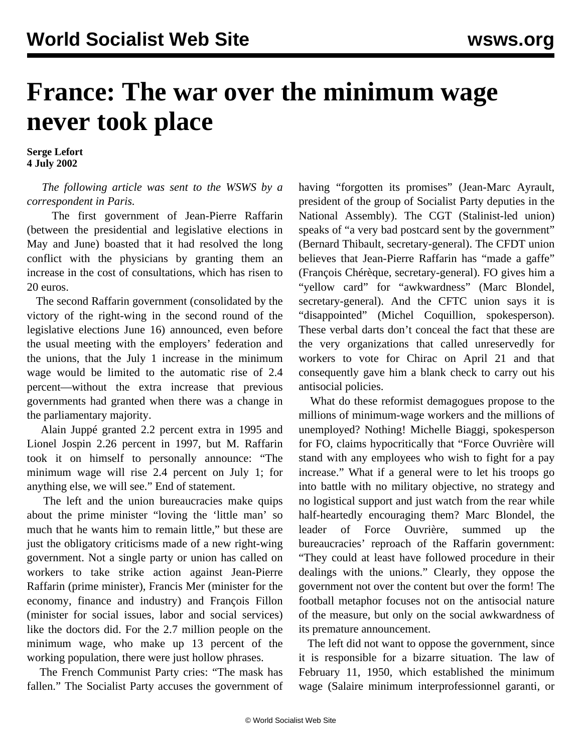## **France: The war over the minimum wage never took place**

**Serge Lefort 4 July 2002**

 *The following article was sent to the WSWS by a correspondent in Paris.*

 The first government of Jean-Pierre Raffarin (between the presidential and legislative elections in May and June) boasted that it had resolved the long conflict with the physicians by granting them an increase in the cost of consultations, which has risen to 20 euros.

 The second Raffarin government (consolidated by the victory of the right-wing in the second round of the legislative elections June 16) announced, even before the usual meeting with the employers' federation and the unions, that the July 1 increase in the minimum wage would be limited to the automatic rise of 2.4 percent—without the extra increase that previous governments had granted when there was a change in the parliamentary majority.

 Alain Juppé granted 2.2 percent extra in 1995 and Lionel Jospin 2.26 percent in 1997, but M. Raffarin took it on himself to personally announce: "The minimum wage will rise 2.4 percent on July 1; for anything else, we will see." End of statement.

 The left and the union bureaucracies make quips about the prime minister "loving the 'little man' so much that he wants him to remain little," but these are just the obligatory criticisms made of a new right-wing government. Not a single party or union has called on workers to take strike action against Jean-Pierre Raffarin (prime minister), Francis Mer (minister for the economy, finance and industry) and François Fillon (minister for social issues, labor and social services) like the doctors did. For the 2.7 million people on the minimum wage, who make up 13 percent of the working population, there were just hollow phrases.

 The French Communist Party cries: "The mask has fallen." The Socialist Party accuses the government of having "forgotten its promises" (Jean-Marc Ayrault, president of the group of Socialist Party deputies in the National Assembly). The CGT (Stalinist-led union) speaks of "a very bad postcard sent by the government" (Bernard Thibault, secretary-general). The CFDT union believes that Jean-Pierre Raffarin has "made a gaffe" (François Chérèque, secretary-general). FO gives him a "yellow card" for "awkwardness" (Marc Blondel, secretary-general). And the CFTC union says it is "disappointed" (Michel Coquillion, spokesperson). These verbal darts don't conceal the fact that these are the very organizations that called unreservedly for workers to vote for Chirac on April 21 and that consequently gave him a blank check to carry out his antisocial policies.

 What do these reformist demagogues propose to the millions of minimum-wage workers and the millions of unemployed? Nothing! Michelle Biaggi, spokesperson for FO, claims hypocritically that "Force Ouvrière will stand with any employees who wish to fight for a pay increase." What if a general were to let his troops go into battle with no military objective, no strategy and no logistical support and just watch from the rear while half-heartedly encouraging them? Marc Blondel, the leader of Force Ouvrière, summed up the bureaucracies' reproach of the Raffarin government: "They could at least have followed procedure in their dealings with the unions." Clearly, they oppose the government not over the content but over the form! The football metaphor focuses not on the antisocial nature of the measure, but only on the social awkwardness of its premature announcement.

 The left did not want to oppose the government, since it is responsible for a bizarre situation. The law of February 11, 1950, which established the minimum wage (Salaire minimum interprofessionnel garanti, or